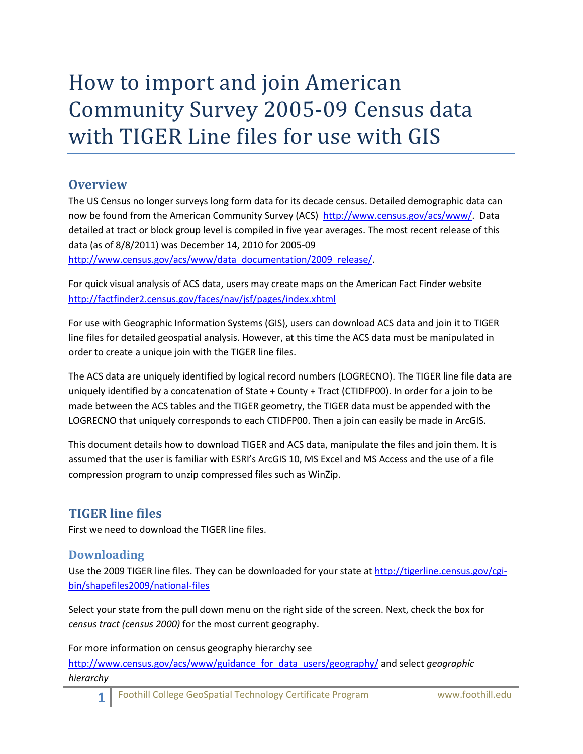# How to import and join American Community Survey 2005-09 Census data with TIGER Line files for use with GIS

## **Overview**

The US Census no longer surveys long form data for its decade census. Detailed demographic data can now be found from the American Community Survey (ACS) [http://www.census.gov/acs/www/.](http://www.census.gov/acs/www/) Data detailed at tract or block group level is compiled in five year averages. The most recent release of this data (as of 8/8/2011) was December 14, 2010 for 2005-09 [http://www.census.gov/acs/www/data\\_documentation/2009\\_release/.](http://www.census.gov/acs/www/data_documentation/2009_release/)

For quick visual analysis of ACS data, users may create maps on the American Fact Finder website <http://factfinder2.census.gov/faces/nav/jsf/pages/index.xhtml>

For use with Geographic Information Systems (GIS), users can download ACS data and join it to TIGER line files for detailed geospatial analysis. However, at this time the ACS data must be manipulated in order to create a unique join with the TIGER line files.

The ACS data are uniquely identified by logical record numbers (LOGRECNO). The TIGER line file data are uniquely identified by a concatenation of State + County + Tract (CTIDFP00). In order for a join to be made between the ACS tables and the TIGER geometry, the TIGER data must be appended with the LOGRECNO that uniquely corresponds to each CTIDFP00. Then a join can easily be made in ArcGIS.

This document details how to download TIGER and ACS data, manipulate the files and join them. It is assumed that the user is familiar with ESRI's ArcGIS 10, MS Excel and MS Access and the use of a file compression program to unzip compressed files such as WinZip.

## **TIGER line files**

First we need to download the TIGER line files.

#### **Downloading**

Use the 2009 TIGER line files. They can be downloaded for your state a[t http://tigerline.census.gov/cgi](http://tigerline.census.gov/cgi-bin/shapefiles2009/national-files)[bin/shapefiles2009/national-files](http://tigerline.census.gov/cgi-bin/shapefiles2009/national-files)

Select your state from the pull down menu on the right side of the screen. Next, check the box for *census tract (census 2000)* for the most current geography.

For more information on census geography hierarchy see [http://www.census.gov/acs/www/guidance\\_for\\_data\\_users/geography/](http://www.census.gov/acs/www/guidance_for_data_users/geography/) and select *geographic hierarchy*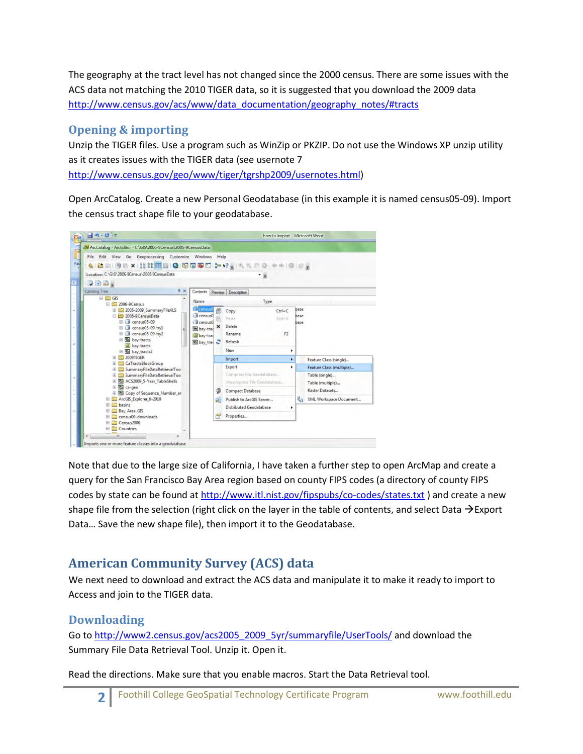The geography at the tract level has not changed since the 2000 census. There are some issues with the ACS data not matching the 2010 TIGER data, so it is suggested that you download the 2009 data [http://www.census.gov/acs/www/data\\_documentation/geography\\_notes/#tracts](http://www.census.gov/acs/www/data_documentation/geography_notes/#tracts)

## **Opening & importing**

Unzip the TIGER files. Use a program such as WinZip or PKZIP. Do not use the Windows XP unzip utility as it creates issues with the TIGER data (see usernote 7 [http://www.census.gov/geo/www/tiger/tgrshp2009/usernotes.html\)](http://www.census.gov/geo/www/tiger/tgrshp2009/usernotes.html)

Open ArcCatalog. Create a new Personal Geodatabase (in this example it is named census05-09). Import the census tract shape file to your geodatabase.



Note that due to the large size of California, I have taken a further step to open ArcMap and create a query for the San Francisco Bay Area region based on county FIPS codes (a directory of county FIPS codes by state can be found at<http://www.itl.nist.gov/fipspubs/co-codes/states.txt> ) and create a new shape file from the selection (right click on the layer in the table of contents, and select Data  $\rightarrow$  Export Data… Save the new shape file), then import it to the Geodatabase.

## **American Community Survey (ACS) data**

We next need to download and extract the ACS data and manipulate it to make it ready to import to Access and join to the TIGER data.

## **Downloading**

Go to [http://www2.census.gov/acs2005\\_2009\\_5yr/summaryfile/UserTools/](http://www2.census.gov/acs2005_2009_5yr/summaryfile/UserTools/) and download the Summary File Data Retrieval Tool. Unzip it. Open it.

Read the directions. Make sure that you enable macros. Start the Data Retrieval tool.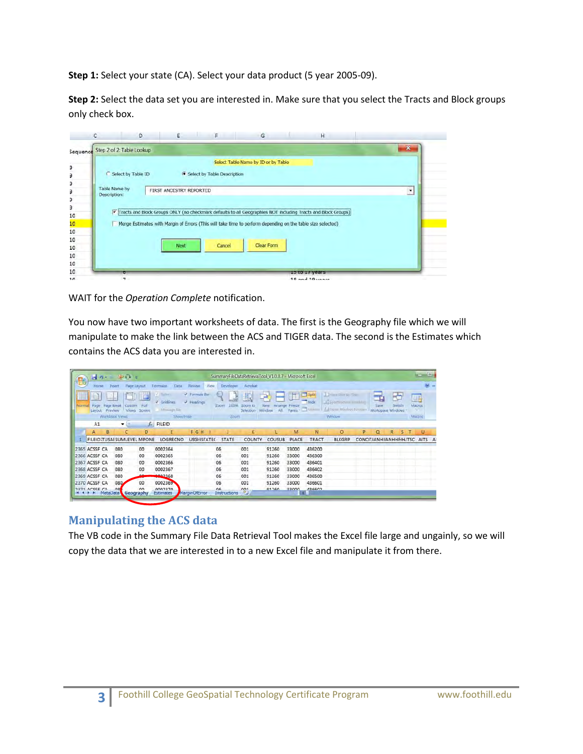**Step 1:** Select your state (CA). Select your data product (5 year 2005-09).

**Step 2:** Select the data set you are interested in. Make sure that you select the Tracts and Block groups only check box.

|                               | D                         | E                       | F.                            | G                                                                                                             | H                     |                |
|-------------------------------|---------------------------|-------------------------|-------------------------------|---------------------------------------------------------------------------------------------------------------|-----------------------|----------------|
| Sequence                      | Step 2 of 2: Table Lookup |                         |                               |                                                                                                               |                       | $\mathbf{x}$   |
|                               | Select by Table ID        |                         | G Select by Table Description | Select Table Name by ID or by Table                                                                           |                       |                |
| Table Name by<br>Description: |                           | FIRST ANCESTRY REPORTED |                               | Tracts and Block Groups ONLY (no checkmark defaults to all Geographies NOT including Tracts and Block Groups) |                       | $\overline{ }$ |
|                               |                           |                         |                               | Merge Estimates with Margin of Errors (This will take time to perform depending on the table size selected)   |                       |                |
|                               |                           | <b>Next</b>             | Cancel                        | <b>Clear Form</b>                                                                                             |                       |                |
|                               | π                         |                         |                               |                                                                                                               | <b>TO TO TA AGSIL</b> |                |
|                               | $\overline{\phantom{a}}$  |                         |                               |                                                                                                               | $10$ and $10$ years   |                |

WAIT for the *Operation Complete* notification.

You now have two important worksheets of data. The first is the Geography file which we will manipulate to make the link between the ACS and TIGER data. The second is the Estimates which contains the ACS data you are interested in.

|                                  |                                    | $-5$ |                             | $\frac{1}{2}$ . The set of $\frac{1}{2}$ |                |                                                      |             |                             |      | SummaryFileDataRetrievalTool_V1.0.0.7 - Microsoft Excel |                            |               |               |             |                           |                                                                                                    |   |                                |              |        | $\Box$ (a)   |       |
|----------------------------------|------------------------------------|------|-----------------------------|------------------------------------------|----------------|------------------------------------------------------|-------------|-----------------------------|------|---------------------------------------------------------|----------------------------|---------------|---------------|-------------|---------------------------|----------------------------------------------------------------------------------------------------|---|--------------------------------|--------------|--------|--------------|-------|
|                                  | Horne                              |      | Insert                      | Page Layout                              |                | Formulas                                             | <b>Data</b> | Review.                     | View | Developer                                               | Acrobat                    |               |               |             |                           |                                                                                                    |   |                                |              |        |              | $M -$ |
| <b>Nore</b>                      | Page<br>Linvout                    |      | Page Break<br>Preview       | Custom<br><b>Views</b>                   | Full<br>Screen | <b>Thursday</b><br>V Gridlines<br><b>Micropy Ear</b> |             | / Formula Bar<br>J Headings |      | 61<br>100%<br>Zoon                                      | ı.<br>Zoom to<br>Selection | New<br>Window | Arrande<br>吉川 | E<br>Freeze | ⊟<br>Split<br><b>Mide</b> | <b>Children Signs L. Share</b><br>El Synthronomi imoling<br>Panes - Units   Auflie at Worldw Power |   | 玉<br>Save<br>Workspace Windows | $\mathbf{E}$ | Switch | ug<br>Macros |       |
|                                  |                                    |      | Workbook Views              |                                          |                |                                                      | Show/Hille  |                             |      | Zoum                                                    |                            |               |               |             |                           | Witkbw                                                                                             |   |                                |              |        | Magros       |       |
|                                  | A1                                 |      | ۰                           |                                          | $\mathcal{L}$  | FILEID                                               |             |                             |      |                                                         |                            |               |               |             |                           |                                                                                                    |   |                                |              |        |              |       |
|                                  |                                    |      | B                           | c                                        | D              | Е                                                    |             | FGH                         |      |                                                         | κ                          |               |               | M           | N                         | ٥                                                                                                  | P | a                              | R            | s      | U            |       |
|                                  |                                    |      | FILEID TUSAI SUMLEVEL MPONE |                                          |                | LOGRECNO                                             |             | <b>USGHISTATE(</b>          |      | <b>STATE</b>                                            | COUNTY                     |               | <b>COUSUB</b> | PLACE       | <b>TRACT</b>              | <b>BLKGRP</b>                                                                                      |   | CONCILIANHIIANHHHH.ITSC        |              |        | AITS         |       |
|                                  | 2365 ACSSF CA                      |      | 080                         |                                          | 00             | 0002364                                              |             |                             |      | 06                                                      | 001                        |               | 91260         | 33000       | 436200                    |                                                                                                    |   |                                |              |        |              |       |
|                                  | 2366 ACSSF CA                      |      | 080                         |                                          | 00             | 0002365                                              |             |                             |      | 06                                                      | 001                        |               | 91260         | 33000       | 436300                    |                                                                                                    |   |                                |              |        |              |       |
|                                  | 2367 ACSSF CA                      |      | 080                         |                                          | 00             | 0002366                                              |             |                             |      | 06                                                      | 001                        |               | 91260         | 33000       | 436401                    |                                                                                                    |   |                                |              |        |              |       |
|                                  | 2368 ACSSF CA                      |      | 080                         |                                          | oo             | 0002367                                              |             |                             |      | 06                                                      | 001                        |               | 91260         | 33000       | 436402                    |                                                                                                    |   |                                |              |        |              |       |
|                                  | 2369 ACSSF CA                      |      | 080                         |                                          | $n\Delta$      | 0002368                                              |             |                             |      | 06                                                      | 001                        |               | 91260         | 33000       | 436500                    |                                                                                                    |   |                                |              |        |              |       |
|                                  | 2370 ACSSF CA                      |      | 080                         |                                          | OO             | 0002369                                              |             |                             |      | 06                                                      | 001                        |               | 91260         | 33000       | 436601                    |                                                                                                    |   |                                |              |        |              |       |
| <b>14 4 15 16 16 16 16 16 16</b> | 2221 ACCCE CA<br><b>STATISTICS</b> |      | n <sub>2</sub><br>MetaData  | Geography                                | n <sub>n</sub> | nnnazzn.<br>Estimates                                |             | MarginOfError               |      | ns.<br>Instructions                                     | 001<br>-91                 |               | 01260         | 22000       | AJESAT                    |                                                                                                    |   |                                |              |        |              |       |

#### **Manipulating the ACS data**

The VB code in the Summary File Data Retrieval Tool makes the Excel file large and ungainly, so we will copy the data that we are interested in to a new Excel file and manipulate it from there.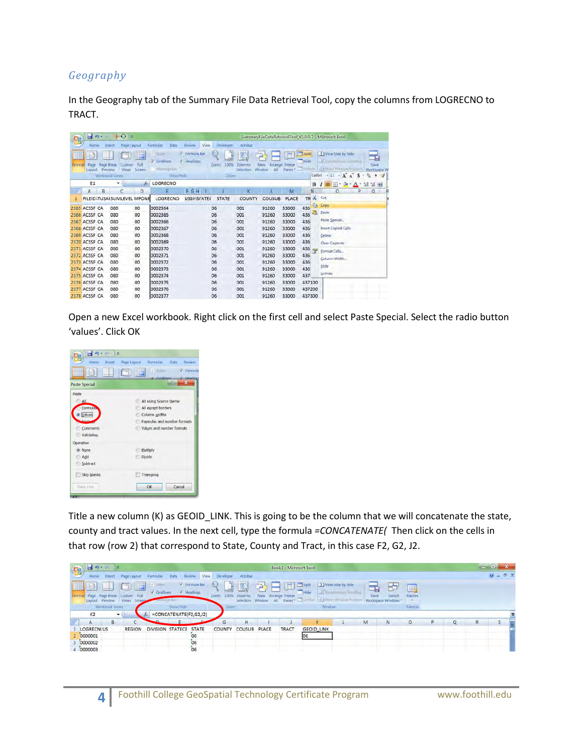#### *Geography*

In the Geography tab of the Summary File Data Retrieval Tool, copy the columns from LOGRECNO to TRACT.

|         | $-1 - 1$               |   | 斗 〇 =                                                                                       |                |                                                                                       |                                                 |                                       |                                  |                             |                                        |                            |         | SummaryFileDataRetrievalTool V1.0.0.7 - Microsoft Excel                                                                                     |
|---------|------------------------|---|---------------------------------------------------------------------------------------------|----------------|---------------------------------------------------------------------------------------|-------------------------------------------------|---------------------------------------|----------------------------------|-----------------------------|----------------------------------------|----------------------------|---------|---------------------------------------------------------------------------------------------------------------------------------------------|
| NOTTIAL | Home<br>Page<br>Lavout |   | Page Layout<br>Insert<br><b>Page Break</b><br>Custom<br>Preview<br>Views:<br>Workbook Views | Full<br>Screen | <b>Data</b><br>Formulas<br>$ J  = 20$<br>v<br>Gridlines<br>Mes top life.<br>Show/Hide | Resilety<br>View<br>V Formula Bar<br>V Headings | Developer<br>100%<br>Zomni<br>Tracycy | Acrobat<br>ZOOTI-10<br>Selection | <b>New</b><br>All<br>Window | Arrange Freeze<br>Paries <sup>11</sup> | $-$ Span<br>Filde<br>Timil | Calibri | I I View Side by Side<br>-9<br>Il Feneration concerna-<br>Save<br>de della ritaroni sono<br>Workspace W<br>$+11$<br>$-A$ $A$<br>s<br>ಀ<br>۰ |
|         | E1                     |   | ۰                                                                                           |                | f LOGRECNO                                                                            |                                                 |                                       |                                  |                             |                                        |                            | в       | $7.6$ + M<br>$^{+6}$<br>Ħ<br>O.<br>$\mathbf{A}$<br>٠<br>$\blacksquare$                                                                      |
|         | A                      | B | C                                                                                           | D              |                                                                                       | FGH                                             |                                       |                                  |                             | M                                      |                            | N       | o<br>$^{\circ}$<br>O                                                                                                                        |
|         |                        |   | FILEID TUSAI SUMLEVEL MPONE                                                                 |                | LOGRECNO                                                                              | <b>USGHISFATE(</b>                              | <b>STATE</b>                          | COUNTY                           | <b>COUSUB</b>               | PLACE                                  | TR                         | x       | Cut                                                                                                                                         |
|         | 2365 ACSSF CA          |   | 080                                                                                         | 00             | 0002364                                                                               |                                                 | 06                                    | 001                              | 91260                       | 33000                                  | 436                        | ÷       | Copy                                                                                                                                        |
|         | 2366 ACSSF CA          |   | 080                                                                                         | 00             | 0002365                                                                               |                                                 | 06                                    | 001                              | 91260                       | 33000                                  | 436                        | L3      | Paste                                                                                                                                       |
|         | 2367 ACSSF CA          |   | 080                                                                                         | 00             | 0002366                                                                               |                                                 | 06                                    | 001                              | 91260                       | 33000                                  | 436                        |         | Paste Special                                                                                                                               |
|         | 2368 ACSSF CA          |   | 080                                                                                         | 00             | 0002367                                                                               |                                                 | 06                                    | 001                              | 91260                       | 33000                                  | 436                        |         | Insert Copied Cells                                                                                                                         |
|         | 2369 ACSSF CA          |   | 080                                                                                         | 00             | 0002368                                                                               |                                                 | 06                                    | 001                              | 91260                       | 33000                                  | 436                        |         | Delete                                                                                                                                      |
|         | 2370 ACSSF CA          |   | 080                                                                                         | 00             | 0002369                                                                               |                                                 | 06                                    | 001                              | 91260                       | 33000                                  | 436                        |         | Clear Contents                                                                                                                              |
|         | 2371 ACSSF CA          |   | 080                                                                                         | 00             | 0002370                                                                               |                                                 | 06                                    | 001                              | 91260                       | 33000                                  | 436                        |         | Format Cells                                                                                                                                |
|         | 2372 ACSSF CA          |   | 080                                                                                         | 00             | 0002371                                                                               |                                                 | 06                                    | 001                              | 91260                       | 33000                                  | 436                        |         |                                                                                                                                             |
|         | 2373 ACSSF CA          |   | 080                                                                                         | 00             | 0002372                                                                               |                                                 | 06                                    | 001                              | 91260                       | 33000                                  | 436                        |         | Column Width.                                                                                                                               |
|         | 2374 ACSSF CA          |   | 080                                                                                         | 00             | 0002373                                                                               |                                                 | 06                                    | 001                              | 91260                       | 33000                                  | 436                        |         | Hide                                                                                                                                        |
|         | 2375 ACSSF CA          |   | 080                                                                                         | 00             | 0002374                                                                               |                                                 | 06                                    | 001                              | 91260                       | 33000                                  | 437                        |         | Unhide                                                                                                                                      |
|         | 2376 ACSSF CA          |   | 080                                                                                         | 00             | 0002375                                                                               |                                                 | 06                                    | 001                              | 91260                       | 33000                                  | 437100                     |         |                                                                                                                                             |
|         | 2377 ACSSF CA          |   | 080                                                                                         | 00             | 0002376                                                                               |                                                 | 06                                    | 001                              | 91260                       | 33000                                  | 437200                     |         |                                                                                                                                             |
|         | 2378 ACSSF CA          |   | 080                                                                                         | 00             | 0002377                                                                               |                                                 | 06                                    | 001                              | 91260                       | 33000                                  | 437300                     |         |                                                                                                                                             |

Open a new Excel workbook. Right click on the first cell and select Paste Special. Select the radio button 'values'. Click OK

| ru.                  |                                                                 |
|----------------------|-----------------------------------------------------------------|
| Home<br>Insert       | Formulas<br>Data<br>Review<br>Page Layout                       |
|                      | V Rüler<br>V Formula<br>HE I<br>J Hoading<br><b>V</b> Gridlines |
| <b>Paste Special</b> | 见<br>$\overline{\mathbf{x}}$                                    |
| Paste                |                                                                 |
| A                    | All using Source theme                                          |
| <b>Formula</b> ,     | All except borders                                              |
| Values               | Column widths                                                   |
| Form                 | Formulas and number formats                                     |
| Comments             | Values and number formats                                       |
| Validation           |                                                                 |
| Operation            |                                                                 |
| O None               | Multiply                                                        |
| Add                  | Divide                                                          |
| Subtract             |                                                                 |
| Skip blanks          | Transpose                                                       |
| Paste Link           | Cancel<br>OK                                                    |
|                      |                                                                 |

Title a new column (K) as GEOID\_LINK. This is going to be the column that we will concatenate the state, county and tract values. In the next cell, type the formula *=CONCATENATE(* Then click on the cells in that row (row 2) that correspond to State, County and Tract, in this case F2, G2, J2.

| 出り<br>м<br>B                                                                                                                                           |                                               | Book1 - Microsoft Excel                                     |                               |                                                    |          | $\mathbf{m}$     |
|--------------------------------------------------------------------------------------------------------------------------------------------------------|-----------------------------------------------|-------------------------------------------------------------|-------------------------------|----------------------------------------------------|----------|------------------|
| Review<br>Home<br>Data<br>Irisent<br>Page Layout<br>Formulat                                                                                           | Acrobat<br>View<br>Developer                  |                                                             |                               |                                                    |          | $N = \mathbb{R}$ |
| <b>STEP IN THE STATE</b><br><b>2</b> Formula Bar<br>$J$ Headings<br>J Gridlines<br>Page Page Break<br>Custom Full<br>Views Screen<br>Preview<br>Layout | I<br>61<br>100%<br>Zoom<br>Znom<br>Selection. | O<br>▬<br>Arrange Freeze<br>New<br>Window<br>Panes -<br>All | I I View Side by Side<br>Save | u,<br>Switch<br><b>Macros</b><br>Workspace Windows |          |                  |
| Werkbook Views<br>Show/Hide                                                                                                                            | Znicom                                        |                                                             | Window <sup>®</sup>           | Máezos:                                            |          |                  |
| K2<br>$=$ CONCATENATE(F2,G2,J2)<br>$\cdot$                                                                                                             |                                               |                                                             |                               |                                                    |          |                  |
| B<br>$\mathsf{A}$                                                                                                                                      | н<br>G                                        |                                                             | M                             | N                                                  | $\alpha$ | R                |
| <b>LOGRECN(US</b><br><b>REGION</b><br>DIVISION STATECE<br><b>STATE</b>                                                                                 | COUNTY<br>COUSUB                              | PLACE<br>TRACT                                              | <b>GEOID_LINK</b>             |                                                    |          |                  |
| 2 0000001<br>06                                                                                                                                        |                                               |                                                             |                               |                                                    |          |                  |
| 0000002<br>06                                                                                                                                          |                                               |                                                             |                               |                                                    |          |                  |
| 4 0000003<br>06                                                                                                                                        |                                               |                                                             |                               |                                                    |          |                  |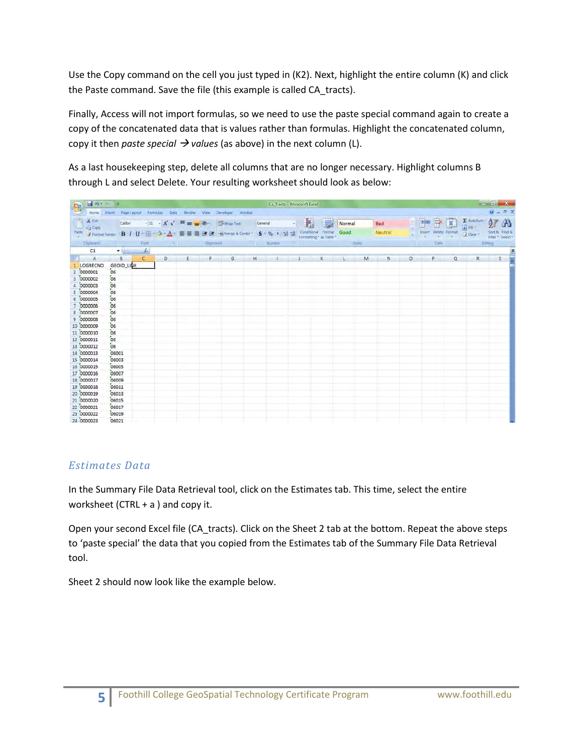Use the Copy command on the cell you just typed in (K2). Next, highlight the entire column (K) and click the Paste command. Save the file (this example is called CA\_tracts).

Finally, Access will not import formulas, so we need to use the paste special command again to create a copy of the concatenated data that is values rather than formulas. Highlight the concatenated column, copy it then *paste special*  $\rightarrow$  *values* (as above) in the next column (L).

As a last housekeeping step, delete all columns that are no longer necessary. Highlight columns B through L and select Delete. Your resulting worksheet should look as below:

| <b>BO-PR</b>                                |                                   |                               |   |         |                                                                     | Ca-Tracts - Microsoft Excel                                                                                                                                                                                                                                                                                                                                                                                                                     |         |        |                |         |                             |   |           | $-6 - X -$                                                                                              |
|---------------------------------------------|-----------------------------------|-------------------------------|---|---------|---------------------------------------------------------------------|-------------------------------------------------------------------------------------------------------------------------------------------------------------------------------------------------------------------------------------------------------------------------------------------------------------------------------------------------------------------------------------------------------------------------------------------------|---------|--------|----------------|---------|-----------------------------|---|-----------|---------------------------------------------------------------------------------------------------------|
| $\mathbf{B}$                                |                                   |                               |   |         | Home Insert Page Layout Formulas Data Review View Developer Acrobat |                                                                                                                                                                                                                                                                                                                                                                                                                                                 |         |        |                |         |                             |   |           | $M - B X$                                                                                               |
| $X$ Cut<br>$\frac{1}{2}$ $\frac{1}{4}$ Cepy |                                   |                               |   |         |                                                                     | Calibri $\cdot$ 11 $\cdot$ $\mathbf{A}^*$ $\mathbf{A}^*$ $\equiv$ $\mathbf{B}$ $\mathbf{B}$ $\mathbf{B}$ $\mathbf{C}$ $\mathbf{D}$ $\mathbf{A}$ $\mathbf{C}$ $\mathbf{D}$ $\mathbf{D}$ $\mathbf{D}$ $\mathbf{D}$ $\mathbf{D}$ $\mathbf{D}$ $\mathbf{D}$ $\mathbf{D}$ $\mathbf{D}$ $\mathbf{D}$ $\mathbf{D}$ $\mathbf{D}$ $\$<br>Paste J Format Painter B I U · 田 · ユ · 스 · 三 芸 選 读 課 · 当 Merge & Center · S · % · 38.58 Conditional Format Good |         | Normal | Bad<br>Neutral |         | 子子园<br>Insert Delete Format |   | 2 Clear - | $\sum_{\text{all real}} \text{Aut}(S(\text{un}) \times \text{A})$<br>Sort & Find &<br>Filter * Select * |
| Clipboard                                   | <b>SEAT COMPANY</b>               | Ford                          |   |         |                                                                     | <b>Calculation of Alignment Calculation Calculation Calculation Calculation Calculation Calculation Calculation Calculation Calculation Calculation Calculation Calculation Calculation Calculation Calculation Calculation Calc</b>                                                                                                                                                                                                            |         |        |                |         |                             |   |           | Editing                                                                                                 |
| C1                                          | $+1$                              | $\frac{f_{\rm m}}{f_{\rm m}}$ |   |         |                                                                     |                                                                                                                                                                                                                                                                                                                                                                                                                                                 |         |        |                |         |                             |   |           | $\boldsymbol{z}$                                                                                        |
| A                                           | <b>B</b> .                        | $\mathsf{C}$                  | D | $E$ $F$ | G                                                                   | $H = 1$ $1$                                                                                                                                                                                                                                                                                                                                                                                                                                     | $K$ $L$ | M      | N              | $\circ$ | P                           | Q | R         | S                                                                                                       |
| LOGRECNO<br>2 0000001<br>0000002            | <b>GEOID LINK</b><br>06<br>$"$ 06 |                               |   |         |                                                                     |                                                                                                                                                                                                                                                                                                                                                                                                                                                 |         |        |                |         |                             |   |           |                                                                                                         |
| 4 0000003<br>5 0000004                      | $^{7}$ 06<br>06                   |                               |   |         |                                                                     |                                                                                                                                                                                                                                                                                                                                                                                                                                                 |         |        |                |         |                             |   |           |                                                                                                         |
| 6 0000005<br>7 0000006                      | 06<br>06                          |                               |   |         |                                                                     |                                                                                                                                                                                                                                                                                                                                                                                                                                                 |         |        |                |         |                             |   |           |                                                                                                         |
| 8 0000007<br>9 0000008                      | 06<br>06                          |                               |   |         |                                                                     |                                                                                                                                                                                                                                                                                                                                                                                                                                                 |         |        |                |         |                             |   |           |                                                                                                         |
| 10 0000009                                  | 06                                |                               |   |         |                                                                     |                                                                                                                                                                                                                                                                                                                                                                                                                                                 |         |        |                |         |                             |   |           |                                                                                                         |
| 11 0000010<br>12 0000011                    | 06<br>06                          |                               |   |         |                                                                     |                                                                                                                                                                                                                                                                                                                                                                                                                                                 |         |        |                |         |                             |   |           |                                                                                                         |
| 13 0000012<br>14 0000013                    | 06<br>06001                       |                               |   |         |                                                                     |                                                                                                                                                                                                                                                                                                                                                                                                                                                 |         |        |                |         |                             |   |           |                                                                                                         |
| 15 0000014<br>16 0000015                    | 06003<br>06005                    |                               |   |         |                                                                     |                                                                                                                                                                                                                                                                                                                                                                                                                                                 |         |        |                |         |                             |   |           |                                                                                                         |
| 17 0000016<br>18 0000017                    | 06007<br>06009                    |                               |   |         |                                                                     |                                                                                                                                                                                                                                                                                                                                                                                                                                                 |         |        |                |         |                             |   |           |                                                                                                         |
| 19 0000018<br>20 0000019                    | 06011<br>06013                    |                               |   |         |                                                                     |                                                                                                                                                                                                                                                                                                                                                                                                                                                 |         |        |                |         |                             |   |           |                                                                                                         |
| 21 0000020                                  | 06015                             |                               |   |         |                                                                     |                                                                                                                                                                                                                                                                                                                                                                                                                                                 |         |        |                |         |                             |   |           |                                                                                                         |
| 22 0000021<br>23 0000022                    | 06017<br>06019                    |                               |   |         |                                                                     |                                                                                                                                                                                                                                                                                                                                                                                                                                                 |         |        |                |         |                             |   |           |                                                                                                         |
| 24 0000023                                  | 06021                             |                               |   |         |                                                                     |                                                                                                                                                                                                                                                                                                                                                                                                                                                 |         |        |                |         |                             |   |           |                                                                                                         |

#### *Estimates Data*

In the Summary File Data Retrieval tool, click on the Estimates tab. This time, select the entire worksheet (CTRL  $+$  a) and copy it.

Open your second Excel file (CA\_tracts). Click on the Sheet 2 tab at the bottom. Repeat the above steps to 'paste special' the data that you copied from the Estimates tab of the Summary File Data Retrieval tool.

Sheet 2 should now look like the example below.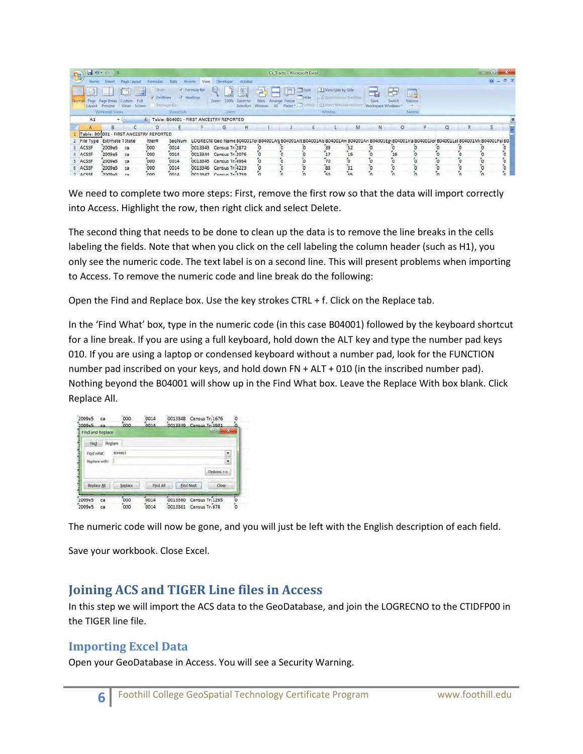| B | 日の一         |                                         |                                        |                 |                                           |                             |                         |         |                | Ca-Tracts - Microsoft Excel |                                                                                                                                         |    |   |                   |                        |   |          |    |           |
|---|-------------|-----------------------------------------|----------------------------------------|-----------------|-------------------------------------------|-----------------------------|-------------------------|---------|----------------|-----------------------------|-----------------------------------------------------------------------------------------------------------------------------------------|----|---|-------------------|------------------------|---|----------|----|-----------|
|   | Home        | <b>Jriser</b>                           | Page Layout                            | <b>Formidas</b> | <b>CLAIR</b>                              | Review<br>View              | Developer               | Acrobat |                |                             |                                                                                                                                         |    |   |                   |                        |   |          |    | $10 - 17$ |
|   |             | <b>Bann Break</b><br>Workfabbl: Views   | <b>Total</b><br>Screen<br><b>Views</b> | Gridlines       | Adventurers if the<br>Show/Hide           | / Formula Bar<br>V Headings | 100%<br>Zoom<br>Zoem    |         | Arrange Freeze | 画<br>$S$ glit               | 1 I View Side by Side<br>Window                                                                                                         |    |   | Workspace Windows | 山头<br>Marros<br>Macros |   |          |    |           |
|   | A1          |                                         |                                        |                 | F Table: B04001 - FIRST ANCESTRY REPORTED |                             |                         |         |                |                             |                                                                                                                                         |    |   |                   |                        |   |          |    |           |
|   |             | B                                       |                                        |                 |                                           |                             | G                       | H       |                |                             |                                                                                                                                         | M  | N | $\circ$           |                        | p | $\alpha$ | R. |           |
|   |             | Table: 804001 - FIRST ANCESTRY REPORTED |                                        |                 |                                           |                             |                         |         |                |                             |                                                                                                                                         |    |   |                   |                        |   |          |    |           |
|   | 2 File Type | Estimate TState                         |                                        | itter#          | SegNum                                    |                             |                         |         |                |                             | LOGRECN(Geo Name B04001Tot B04001Afg B04001Alt B04001Als B04001Am B04001Art B04001Egr B04001Ira B04001Ior B04001Let B04001McB04001PalB0 |    |   |                   |                        |   |          |    |           |
|   | ACSSF       | 2009e5                                  | ca                                     | 000             | 0014                                      |                             | 0013343 Census Tr: 2872 |         |                |                             |                                                                                                                                         |    |   |                   |                        |   |          |    |           |
|   | 4 ACSSF     | 2009e5                                  | ca                                     | $\sim$          | 0014                                      |                             | 0013344 Census Tr: 2076 |         |                |                             |                                                                                                                                         | 16 |   | 16                |                        |   |          |    |           |
|   | 5 ACSSF     | 2009e5                                  | lca                                    | 000             | 0014                                      |                             | 0013345 Census Tr: 4964 |         |                |                             | $70^{\circ}$                                                                                                                            |    |   |                   |                        |   |          |    |           |
|   | 6 ACSSF     | 2009e5                                  | ca                                     | 000             | 0014                                      |                             | 0013346 Census Tr:4223  |         |                |                             | 88                                                                                                                                      |    |   |                   |                        |   |          |    |           |
|   | 7 ACSSE     | 2009e5                                  | <b>CB</b>                              | $\infty$        | 0014                                      |                             | 0013347 Census Tr: 3759 |         |                |                             | $50^{\circ}$                                                                                                                            | 55 |   |                   |                        |   |          |    |           |

We need to complete two more steps: First, remove the first row so that the data will import correctly into Access. Highlight the row, then right click and select Delete.

The second thing that needs to be done to clean up the data is to remove the line breaks in the cells labeling the fields. Note that when you click on the cell labeling the column header (such as H1), you only see the numeric code. The text label is on a second line. This will present problems when importing to Access. To remove the numeric code and line break do the following:

Open the Find and Replace box. Use the key strokes CTRL + f. Click on the Replace tab.

In the 'Find What' box, type in the numeric code (in this case B04001) followed by the keyboard shortcut for a line break. If you are using a full keyboard, hold down the ALT key and type the number pad keys 010. If you are using a laptop or condensed keyboard without a number pad, look for the FUNCTION number pad inscribed on your keys, and hold down FN + ALT + 010 (in the inscribed number pad). Nothing beyond the B04001 will show up in the Find What box. Leave the Replace With box blank. Click Replace All.



The numeric code will now be gone, and you will just be left with the English description of each field.

Save your workbook. Close Excel.

## **Joining ACS and TIGER Line files in Access**

In this step we will import the ACS data to the GeoDatabase, and join the LOGRECNO to the CTIDFP00 in the TIGER line file.

#### **Importing Excel Data**

Open your GeoDatabase in Access. You will see a Security Warning.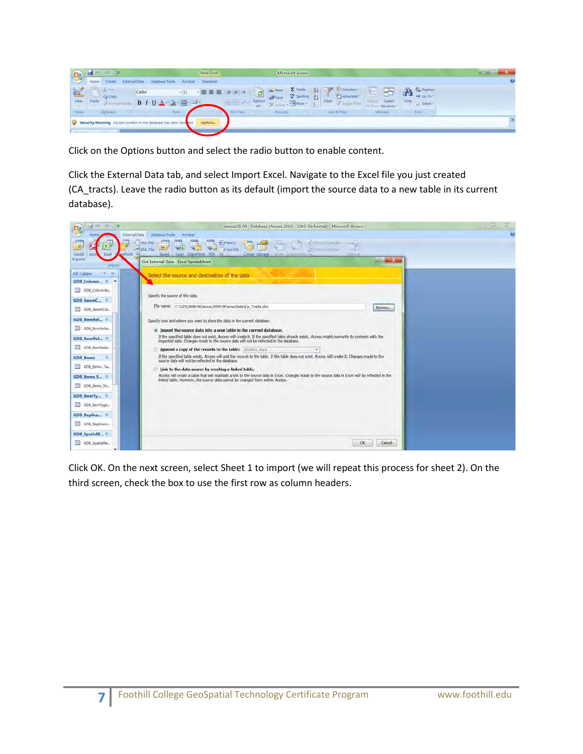| <b>Dr</b>            | Table Tools<br>$\rightarrow$<br>IS.                                                                         | Microsoft Access                                                                                                                                                                                                      |           |
|----------------------|-------------------------------------------------------------------------------------------------------------|-----------------------------------------------------------------------------------------------------------------------------------------------------------------------------------------------------------------------|-----------|
| <b>LU</b>            | Home<br>Create<br>Acrobat<br>Datasheet<br>External Data<br>Database Tools                                   |                                                                                                                                                                                                                       | <b>Ka</b> |
| View                 | M. Car<br>Calibri<br>$-11$<br><b>L'a Copy</b><br>Paste<br>$-$<br>B <sub>1</sub><br>$-1.2x$<br>Fromat Valvin | Replace<br><b>E</b> Selection<br>A<br>ø<br><b>RESERVE</b><br>Advanced *<br>Spelling<br>$\frac{21}{3}$<br>Go To *<br><b>催售</b><br>Find<br>Switch<br>Refresh<br>Stee to<br>Filter V Tougle Filter<br>More +<br>Select - |           |
| <b>Views</b>         | <b>Clinticand</b><br>Ford                                                                                   | $All -$<br>Fit Form Windows -<br><b>Rich Test</b><br>Sout & Filter<br><b>Hind</b><br>Window<br>Records                                                                                                                |           |
| <b>College State</b> | Security Warning Certain content in the database has been disat<br>Options.<br>$\sim$                       |                                                                                                                                                                                                                       | ×         |

Click on the Options button and select the radio button to enable content.

Click the External Data tab, and select Import Excel. Navigate to the Excel file you just created (CA\_tracts). Leave the radio button as its default (import the source data to a new table in its current database).

| <b>The Company</b><br>$-473$<br>n a       | census05-09 ; Database (Access 2002 - 2003 file format) - Microsoft Access                                                                                                                                                                                                                                                                                          | 33<br>$=$ $ w $ |
|-------------------------------------------|---------------------------------------------------------------------------------------------------------------------------------------------------------------------------------------------------------------------------------------------------------------------------------------------------------------------------------------------------------------------|-----------------|
| External Data<br><b>Home</b>              | Database Tools<br>Acrobat                                                                                                                                                                                                                                                                                                                                           | v               |
| velloint<br>Saved<br><b>Eurph</b><br>Acre | 一<br><b>Av A Word</b><br><b>Contract Contract</b><br>Text Film<br><b>The Co</b><br><b>Contract</b><br><b>HITEL</b><br><b>West Text File</b><br>$\left( \frac{1}{2} \right)$<br><b>PELLU</b><br>関田<br><b>WEN</b><br>shall source into<br><b>Pineriotistic</b><br>Excel SharePoint PDF<br><b>Address dist</b><br>Saved.<br>$-1$<br>Creste Maturne allow Commonlys on, |                 |
| <i>Imports</i><br><b>limpeut</b>          | $-2$ $x$<br>Get External Data - Excel Spreadsheet                                                                                                                                                                                                                                                                                                                   |                 |
| 381<br><b>All Tables</b>                  | Select the source and destination of the data                                                                                                                                                                                                                                                                                                                       |                 |
| GDB Column $2 - 4$                        |                                                                                                                                                                                                                                                                                                                                                                     |                 |
| GDB_Columnin                              |                                                                                                                                                                                                                                                                                                                                                                     |                 |
| GDB GeomC *                               | Specify the source of the data.                                                                                                                                                                                                                                                                                                                                     |                 |
| 甜<br>GDB_GeomCol                          | Elle name: C:\GIS\2006-9Census\2005-9CensusData\Ca_Tracts.xlsx<br>Browse                                                                                                                                                                                                                                                                                            |                 |
| GDB ItemRel *                             | Specify how and where you want to store the data in the current database.                                                                                                                                                                                                                                                                                           |                 |
| GDB_ItemRelat                             | . Import the source data into a new table in the current database.                                                                                                                                                                                                                                                                                                  |                 |
| GDB ItemRel *                             | If the specified table does not exist, Access will create it. If the specified table already exists, Access might overwrite its contents with the<br>imported data. Changes made to the source data will not be reflected in the database.                                                                                                                          |                 |
| 疆<br>GDB ItemRelat                        | Append a copy of the records to the table: [802001 Race]                                                                                                                                                                                                                                                                                                            |                 |
| 釜<br><b>GDB</b> Items                     | If the specified table exists, Access will add the records to the table. If the table does not exist, Access will create it. Changes made to the<br>source data will not be reflected in the database.                                                                                                                                                              |                 |
| GDB_Items: Ta.                            | Link to the data source by creating a linked table.                                                                                                                                                                                                                                                                                                                 |                 |
| GDB Items S., *                           | Access will create a table that will maintain a link to the source data in Excel. Changes made to the source data in Excel will be reflected in the<br>linked table. However, the source data cannot be changed from within Access.                                                                                                                                 |                 |
| GDB_Items_Sh.                             |                                                                                                                                                                                                                                                                                                                                                                     |                 |
| GDB ItemTy R                              |                                                                                                                                                                                                                                                                                                                                                                     |                 |
| GDB_ItemType                              |                                                                                                                                                                                                                                                                                                                                                                     |                 |
| GDB Replica 2                             |                                                                                                                                                                                                                                                                                                                                                                     |                 |
| GDB Replicato<br>亜                        |                                                                                                                                                                                                                                                                                                                                                                     |                 |
| <b>GDB</b> SpatialR *                     |                                                                                                                                                                                                                                                                                                                                                                     |                 |
| GDB_SpatialRe_                            | OK<br>Cancel                                                                                                                                                                                                                                                                                                                                                        |                 |

Click OK. On the next screen, select Sheet 1 to import (we will repeat this process for sheet 2). On the third screen, check the box to use the first row as column headers.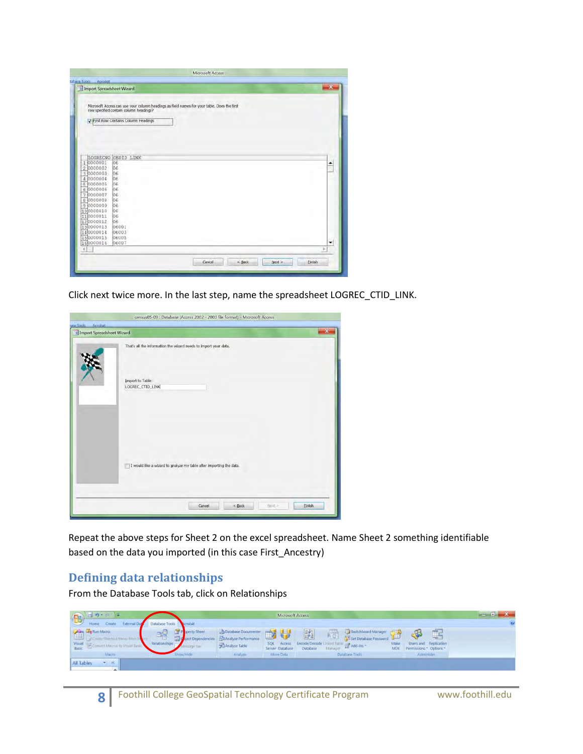| tabasa Tools.<br>Acrobat<br>Import Spreadsheet Wizard                                                             |                                                                                                                                                                            | $\overline{\phantom{a}}$ |
|-------------------------------------------------------------------------------------------------------------------|----------------------------------------------------------------------------------------------------------------------------------------------------------------------------|--------------------------|
|                                                                                                                   | Microsoft Access can use your column headings as field names for your table. Does the first row specified contain column headings?<br>√ First Row Contains Column Headings |                          |
| 1 0000001<br>2 0000002<br>3 0000003<br>4 0000004<br>5 0000005<br>6 0000006<br>7 0000007<br>8 0000008<br>9 0000009 | LOGRECNO GEOID LINK<br>iО6<br>56<br>06<br>06<br>06<br>06<br>06<br>O <sub>E</sub><br>öő.                                                                                    | ≛                        |
| 100000010<br>110000011<br>120000012<br>130000013<br>140000014<br>150000015<br>160000016                           | 06<br>bє.<br>06<br>06001<br>06003<br>06005<br>06007                                                                                                                        | ۰                        |

Click next twice more. In the last step, name the spreadsheet LOGREC\_CTID\_LINK.

| ase Tools<br>Acrobat | <b>EB</b> Import Spreadsheet Wizard  |                                                                     |          |        | $\mathbf{x}$  |
|----------------------|--------------------------------------|---------------------------------------------------------------------|----------|--------|---------------|
|                      |                                      | That's all the information the wizard needs to import your data.    |          |        |               |
|                      | Import to Table:<br>LOGREC_CTID_LINK |                                                                     |          |        |               |
|                      |                                      |                                                                     |          |        |               |
|                      |                                      | I would like a wizard to analyze my table after importing the data. |          |        |               |
|                      |                                      | Cancel                                                              | $<$ Back | Next > | <b>Einish</b> |

Repeat the above steps for Sheet 2 on the excel spreadsheet. Name Sheet 2 something identifiable based on the data you imported (in this case First\_Ancestry)

#### **Defining data relationships**

From the Database Tools tab, click on Relationships

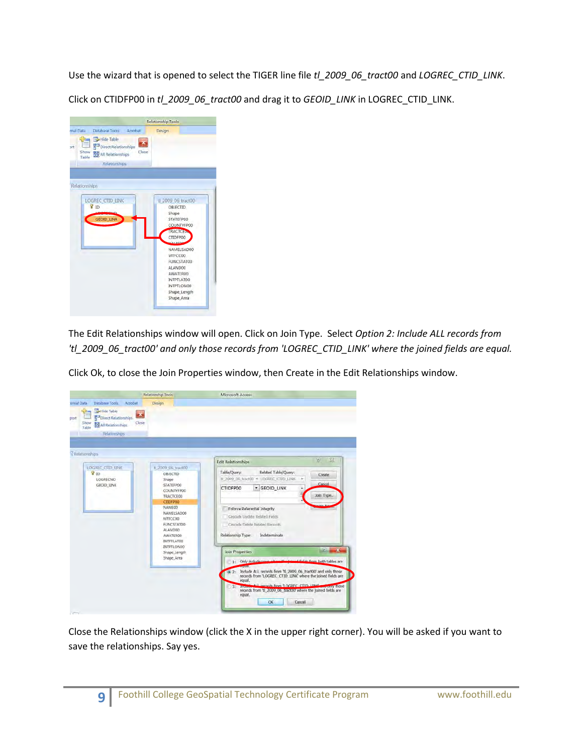Use the wizard that is opened to select the TIGER line file *tl\_2009\_06\_tract00* and *LOGREC\_CTID\_LINK*. Click on CTIDFP00 in *tl\_2009\_06\_tract00* and drag it to *GEOID\_LINK* in LOGREC\_CTID\_LINK.



The Edit Relationships window will open. Click on Join Type. Select *Option 2: Include ALL records from 'tl\_2009\_06\_tract00' and only those records from 'LOGREC\_CTID\_LINK' where the joined fields are equal.*

Click Ok, to close the Join Properties window, then Create in the Edit Relationships window.

| Database Tools<br>Acrobat<br>ernal Data<br>Hide Table<br>Direct Relationships<br>port<br>Show<br><b>BE All Relationships</b><br>Table<br>Relationships | Relationship Tools<br>Design<br>Close                                                                                                                                                                        | Microsoft Access                                                                                                                                                                                                                                                                                                                                                                                                         |
|--------------------------------------------------------------------------------------------------------------------------------------------------------|--------------------------------------------------------------------------------------------------------------------------------------------------------------------------------------------------------------|--------------------------------------------------------------------------------------------------------------------------------------------------------------------------------------------------------------------------------------------------------------------------------------------------------------------------------------------------------------------------------------------------------------------------|
| Relationships                                                                                                                                          |                                                                                                                                                                                                              | 33<br>뀢<br><b>Edit Relationships</b>                                                                                                                                                                                                                                                                                                                                                                                     |
| LOGREC CTID UNK<br>$\sqrt{2}$<br>LOGRECNO<br>GEOID LINK                                                                                                | H 7009-06 tract00<br>OBJECTID<br>Shape<br>STATEFP00<br><b>COUNTYFP00</b><br>TRACTCE00<br>CTIDEPDO<br>NAMEDO<br>NAMELSAD00<br>MTFCC00<br><b>FUNCSTATO0</b><br>ALANDOO<br><b>AWATEROO</b><br><b>INTPTLATOO</b> | Table/Query:<br>Related Table/Query:<br>Create.<br># 2009 05 tract00 = LOGREC CTID LINK<br>۰<br>Cancel<br>CTIDFP00<br>* GEOID LINK<br>٠<br>Join Type<br>Enforce Referential Integrity<br>Cascade Update Related Fields<br>Cascade Delete Related Records<br>Relationship Type:<br>Indeterminate                                                                                                                          |
|                                                                                                                                                        | INTPTLON00<br>Shape Length<br>Shape Area                                                                                                                                                                     | $-12$<br>$\mathbf{x}$<br>Join Properties<br>1: Only include towe where the towed fields from both tables are<br>Include ALL records from 'tl 2009 06 tract00' and only those<br>$Q = 2$<br>records from 'LOGREC_CTID_LINK' where the joined fields are<br>equal.<br>Atl records from LOGREC CTID LIMP - Anny those<br>35 Days<br>records from 'tl_2009_06_tract00' where the joined fields are<br>equal.<br>OK<br>Cancel |

Close the Relationships window (click the X in the upper right corner). You will be asked if you want to save the relationships. Say yes.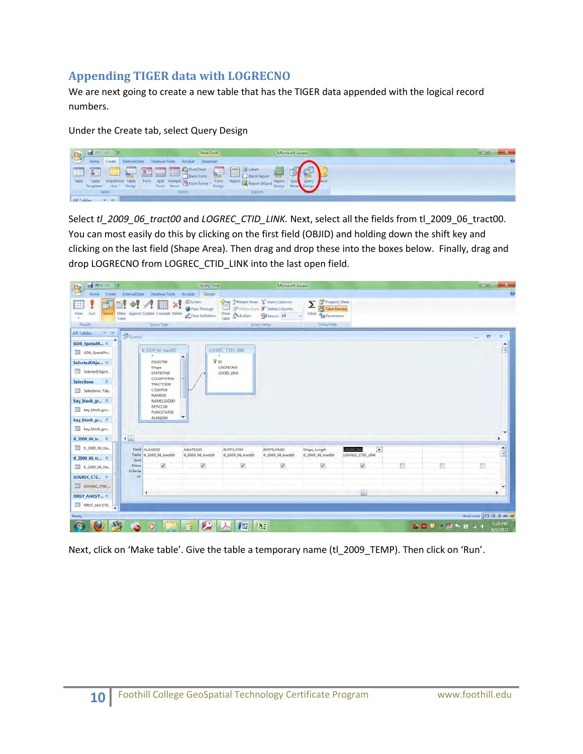### **Appending TIGER data with LOGRECNO**

We are next going to create a new table that has the TIGER data appended with the logical record numbers.

Under the Create tab, select Query Design



Select *tl\_2009\_06\_tract00* and *LOGREC\_CTID\_LINK*. Next, select all the fields from tl\_2009\_06\_tract00. You can most easily do this by clicking on the first field (OBJID) and holding down the shift key and clicking on the last field (Shape Area). Then drag and drop these into the boxes below. Finally, drag and drop LOGRECNO from LOGREC\_CTID\_LINK into the last open field.



Next, click on 'Make table'. Give the table a temporary name (tl\_2009\_TEMP). Then click on 'Run'.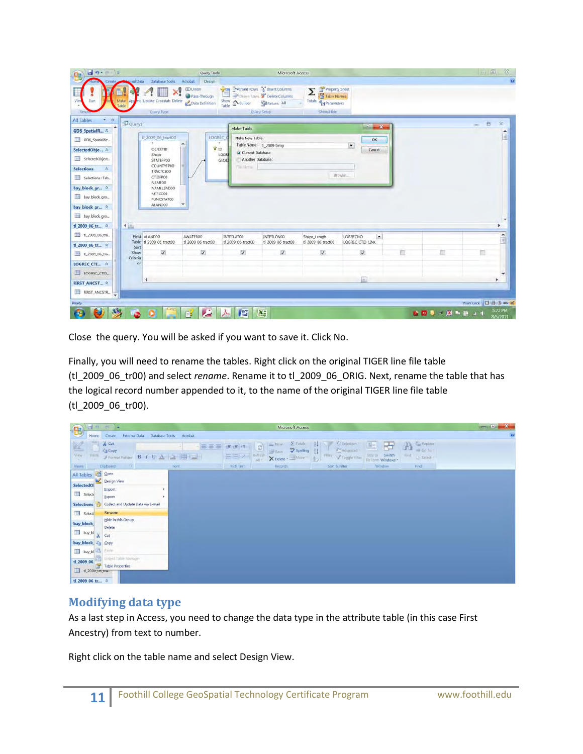| $-9.0$<br>P.                 |                                                | Query Tools                                        |                                           | Microsoft Access                                                                                         |                                                                                |                                                |             | $= 0$              | $\mathbb{Z}$            |
|------------------------------|------------------------------------------------|----------------------------------------------------|-------------------------------------------|----------------------------------------------------------------------------------------------------------|--------------------------------------------------------------------------------|------------------------------------------------|-------------|--------------------|-------------------------|
|                              | mai Data Database Tools                        | Acrobat<br>Design                                  |                                           |                                                                                                          |                                                                                |                                                |             |                    | $\overline{\mathbf{g}}$ |
| Make<br>Resu                 | nd Update Crosstab Delete<br>ADD<br>Query Type | <b>CD Union</b><br>Pass-Through<br>Data Definition | $-5 -$<br>Show A Builder                  | Talnsert Rows & Insert Columns<br>Delivie Rays M Delete Columns<br><b>Nat Return: All</b><br>Query Setup | Property Sheet<br>Σ<br>Table Names<br>Totals <b>Bol</b> Parameters<br>Show/Hde |                                                |             |                    |                         |
| ÷<br>All Tables<br><b>RK</b> | Flouery1                                       |                                                    |                                           |                                                                                                          |                                                                                |                                                |             | ь                  | $\bar{\mathbf{x}}$      |
| GDB_SpatialR *               |                                                |                                                    | Make Table                                |                                                                                                          |                                                                                | -21-4<br>$\mathbf{x}$                          |             |                    |                         |
| GDB_SpatialRe_               | Il 2009 06 Iract00                             | LOGREC (                                           | Make New Table                            |                                                                                                          |                                                                                | OK                                             |             |                    |                         |
| SelectedObje *               | OBJECTID                                       | T <sub>D</sub>                                     | <b>a</b> Current Database                 | Table Name: tl 2009-temp                                                                                 |                                                                                | $\bullet$<br>Cancel                            |             |                    |                         |
| SelectedObject               | Shape<br><b>STATEFPOO</b>                      |                                                    | LOGR<br>Another Database:<br><b>GEOID</b> |                                                                                                          |                                                                                |                                                |             |                    |                         |
| <b>Selections</b><br>文       | COUNTYFP00<br><b>TRACTCE00</b>                 |                                                    | Fill Urran                                |                                                                                                          |                                                                                |                                                |             |                    |                         |
| Selections: Tab.             | CTIDFPOO                                       |                                                    |                                           |                                                                                                          |                                                                                | Browse                                         |             |                    |                         |
| bay block gr *               | NAMEOO<br>NAMELSADOO                           |                                                    |                                           |                                                                                                          |                                                                                |                                                |             |                    |                         |
| bay_block_gro_               | MTFCC00<br>FUNCSTAT00                          |                                                    |                                           |                                                                                                          |                                                                                |                                                |             |                    |                         |
| bay block gr *               | ALANDOO                                        |                                                    |                                           |                                                                                                          |                                                                                |                                                |             |                    |                         |
| bay_block_gro_               |                                                |                                                    |                                           |                                                                                                          |                                                                                |                                                |             |                    |                         |
| 4.4<br>tl 2009 06 tr *       |                                                |                                                    |                                           |                                                                                                          |                                                                                |                                                |             |                    |                         |
| tl_2009_06_tra               |                                                |                                                    |                                           |                                                                                                          |                                                                                |                                                |             |                    |                         |
| ti 2009 06 tr *              | Field: ALANDOO<br>Table: tl 2009 06 tract00    | AWATER00<br>tl_2009_06_tract00                     | INTPTLATO0<br>tl_2009_06_tract00          | INTPTLON00<br>ti_2009_06_tract00                                                                         | Shape_Length<br>tl 2009 06 tract00                                             | $\overline{ }$<br>LOGRECNO<br>LOGREC_CTID_LINK |             |                    | $\frac{1}{2}$           |
| tl_2009_06_tra               | Sort:<br>$\overline{\mathbf{v}}$<br>Show:      | V                                                  | $\overline{\mathsf{w}}$                   | $\overline{\mathcal{L}}$                                                                                 | V                                                                              | v                                              | m           |                    |                         |
|                              | Criberia:                                      |                                                    |                                           |                                                                                                          |                                                                                |                                                |             |                    |                         |
| LOGREC CTL., *               | or.                                            |                                                    |                                           |                                                                                                          |                                                                                |                                                |             |                    |                         |
| LOGREC CTID                  | ч                                              |                                                    |                                           |                                                                                                          |                                                                                | a.                                             |             |                    | ٠                       |
| FIRST ANCST R                |                                                |                                                    |                                           |                                                                                                          |                                                                                |                                                |             |                    |                         |
| FIRST_ANCSTR<br>÷            |                                                |                                                    |                                           |                                                                                                          |                                                                                |                                                |             |                    |                         |
| Ready                        |                                                |                                                    |                                           |                                                                                                          |                                                                                |                                                |             | Num Lock 2 & 1 von |                         |
|                              |                                                | 麘                                                  | 些                                         | A.                                                                                                       |                                                                                |                                                | ● 歴史→ 歴み寄せす |                    | 5:22 PM<br>8/5/2011     |

Close the query. You will be asked if you want to save it. Click No.

Finally, you will need to rename the tables. Right click on the original TIGER line file table (tl\_2009\_06\_tr00) and select *rename*. Rename it to tl\_2009\_06\_ORIG. Next, rename the table that has the logical record number appended to it, to the name of the original TIGER line file table (tl\_2009\_06\_tr00).

|                             |             | $-300$ $-60$ $-2$                  |                                 |                 |                  |                                                                 | Microsoft Access                                |                                                       |                                              |                                                         | $= 0$<br>$\mathbf{x}$ |
|-----------------------------|-------------|------------------------------------|---------------------------------|-----------------|------------------|-----------------------------------------------------------------|-------------------------------------------------|-------------------------------------------------------|----------------------------------------------|---------------------------------------------------------|-----------------------|
| B                           | Home        | Create                             | External Data<br>Database Tools | Acrobat         |                  |                                                                 |                                                 |                                                       |                                              |                                                         | $\mathbf{G}$          |
| $\frac{\sqrt{2}}{\sqrt{2}}$ | 中山<br>Paste | $\frac{1}{26}$ Cut<br><b>Copy</b>  | Format Painter B I U A          | 医套通<br>  用<br>E | 運送 H-<br>EEZ     | Ey New<br>ø<br><b>Save</b><br>Befresh<br>All<br>X Delete - 1400 | $\Sigma$ Totals<br>$-211$<br>spelling<br>$12 -$ | Selection<br>₩<br>El Advanced<br>Filter Toggle Filter | 回<br>臣<br>Size to Switch<br>Fit Form Windows | Replace<br>A<br>$\Rightarrow$ Go Ta -<br>Find<br>Select |                       |
| Views.                      |             | Clipboard<br>10                    |                                 | Font            | <b>Rich Text</b> | Records                                                         |                                                 | Sort & Filter                                         | Window                                       | Find                                                    |                       |
| All Tables<br>SelectedOl    |             | <b>Depend</b><br>Design View       |                                 |                 |                  |                                                                 |                                                 |                                                       |                                              |                                                         |                       |
| Select                      |             | Import<br>Export                   | ٠<br>٠                          |                 |                  |                                                                 |                                                 |                                                       |                                              |                                                         |                       |
| <b>Selections</b>           |             | Collect and Update Data via E-mail |                                 |                 |                  |                                                                 |                                                 |                                                       |                                              |                                                         |                       |
| Selecti                     |             | Rename                             |                                 |                 |                  |                                                                 |                                                 |                                                       |                                              |                                                         |                       |
| bay_block                   |             | Hide in this Group<br>Delete       |                                 |                 |                  |                                                                 |                                                 |                                                       |                                              |                                                         |                       |
| bay_bl                      |             | $\frac{1}{20}$ Cut                 |                                 |                 |                  |                                                                 |                                                 |                                                       |                                              |                                                         |                       |
| bay block                   |             | <b>Egy</b>                         |                                 |                 |                  |                                                                 |                                                 |                                                       |                                              |                                                         |                       |
| bay_bl <b>Barrier</b>       |             |                                    |                                 |                 |                  |                                                                 |                                                 |                                                       |                                              |                                                         |                       |
| tl_2009_06_tra              |             | tl_2009_06<br>Table Properties     |                                 |                 |                  |                                                                 |                                                 |                                                       |                                              |                                                         |                       |
| tl 2009 06 tr *             |             |                                    |                                 |                 |                  |                                                                 |                                                 |                                                       |                                              |                                                         |                       |

#### **Modifying data type**

As a last step in Access, you need to change the data type in the attribute table (in this case First Ancestry) from text to number.

Right click on the table name and select Design View.